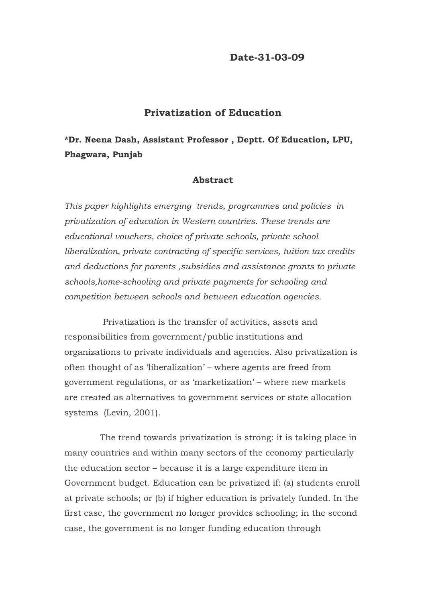### **Date-31-03-09**

### **Privatization of Education**

# **\*Dr. Neena Dash, Assistant Professor , Deptt. Of Education, LPU, Phagwara, Punjab**

### **Abstract**

*This paper highlights emerging trends, programmes and policies in privatization of education in Western countries. These trends are educational vouchers, choice of private schools, private school liberalization, private contracting of specific services, tuition tax credits and deductions for parents ,subsidies and assistance grants to private schools,home-schooling and private payments for schooling and competition between schools and between education agencies.* 

Privatization is the transfer of activities, assets and responsibilities from government/public institutions and organizations to private individuals and agencies. Also privatization is often thought of as 'liberalization' – where agents are freed from government regulations, or as 'marketization' – where new markets are created as alternatives to government services or state allocation systems (Levin, 2001).

 The trend towards privatization is strong: it is taking place in many countries and within many sectors of the economy particularly the education sector – because it is a large expenditure item in Government budget. Education can be privatized if: (a) students enroll at private schools; or (b) if higher education is privately funded. In the first case, the government no longer provides schooling; in the second case, the government is no longer funding education through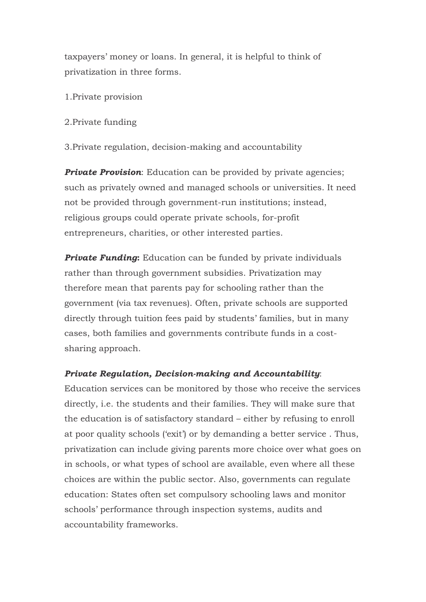taxpayers' money or loans. In general, it is helpful to think of privatization in three forms.

- 1.Private provision
- 2.Private funding

3.Private regulation, decision-making and accountability

**Private Provision**: Education can be provided by private agencies; such as privately owned and managed schools or universities. It need not be provided through government-run institutions; instead, religious groups could operate private schools, for-profit entrepreneurs, charities, or other interested parties.

**Private Funding:** Education can be funded by private individuals rather than through government subsidies. Privatization may therefore mean that parents pay for schooling rather than the government (via tax revenues). Often, private schools are supported directly through tuition fees paid by students' families, but in many cases, both families and governments contribute funds in a costsharing approach.

## *Private Regulation, Decision-making and Accountability*:

Education services can be monitored by those who receive the services directly, i.e. the students and their families. They will make sure that the education is of satisfactory standard – either by refusing to enroll at poor quality schools ('exit') or by demanding a better service . Thus, privatization can include giving parents more choice over what goes on in schools, or what types of school are available, even where all these choices are within the public sector. Also, governments can regulate education: States often set compulsory schooling laws and monitor schools' performance through inspection systems, audits and accountability frameworks.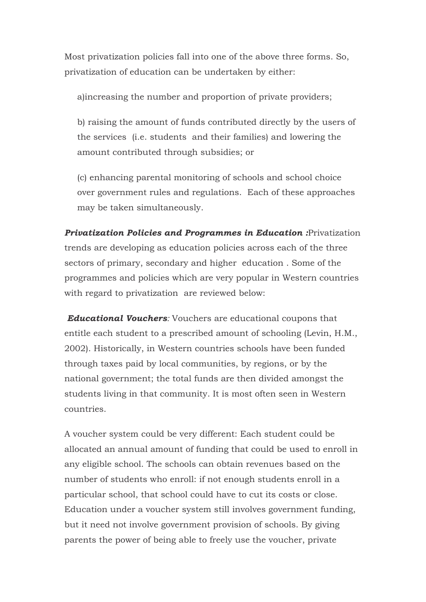Most privatization policies fall into one of the above three forms. So, privatization of education can be undertaken by either:

a)increasing the number and proportion of private providers;

b) raising the amount of funds contributed directly by the users of the services (i.e. students and their families) and lowering the amount contributed through subsidies; or

(c) enhancing parental monitoring of schools and school choice over government rules and regulations. Each of these approaches may be taken simultaneously.

*Privatization Policies and Programmes in Education :*Privatization trends are developing as education policies across each of the three sectors of primary, secondary and higher education . Some of the programmes and policies which are very popular in Western countries with regard to privatization are reviewed below:

*Educational Vouchers:* Vouchers are educational coupons that entitle each student to a prescribed amount of schooling (Levin, H.M., 2002). Historically, in Western countries schools have been funded through taxes paid by local communities, by regions, or by the national government; the total funds are then divided amongst the students living in that community. It is most often seen in Western countries.

A voucher system could be very different: Each student could be allocated an annual amount of funding that could be used to enroll in any eligible school. The schools can obtain revenues based on the number of students who enroll: if not enough students enroll in a particular school, that school could have to cut its costs or close. Education under a voucher system still involves government funding, but it need not involve government provision of schools. By giving parents the power of being able to freely use the voucher, private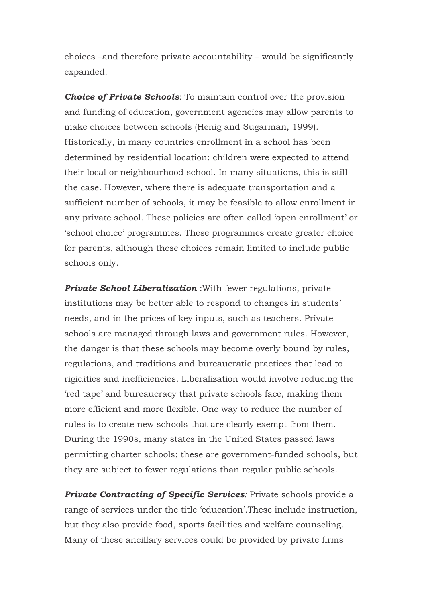choices –and therefore private accountability – would be significantly expanded.

*Choice of Private Schools*: To maintain control over the provision and funding of education, government agencies may allow parents to make choices between schools (Henig and Sugarman, 1999). Historically, in many countries enrollment in a school has been determined by residential location: children were expected to attend their local or neighbourhood school. In many situations, this is still the case. However, where there is adequate transportation and a sufficient number of schools, it may be feasible to allow enrollment in any private school. These policies are often called 'open enrollment' or 'school choice' programmes. These programmes create greater choice for parents, although these choices remain limited to include public schools only.

*Private School Liberalization* :With fewer regulations, private institutions may be better able to respond to changes in students' needs, and in the prices of key inputs, such as teachers. Private schools are managed through laws and government rules. However, the danger is that these schools may become overly bound by rules, regulations, and traditions and bureaucratic practices that lead to rigidities and inefficiencies. Liberalization would involve reducing the 'red tape' and bureaucracy that private schools face, making them more efficient and more flexible. One way to reduce the number of rules is to create new schools that are clearly exempt from them. During the 1990s, many states in the United States passed laws permitting charter schools; these are government-funded schools, but they are subject to fewer regulations than regular public schools.

**Private Contracting of Specific Services**: Private schools provide a range of services under the title 'education'.These include instruction, but they also provide food, sports facilities and welfare counseling. Many of these ancillary services could be provided by private firms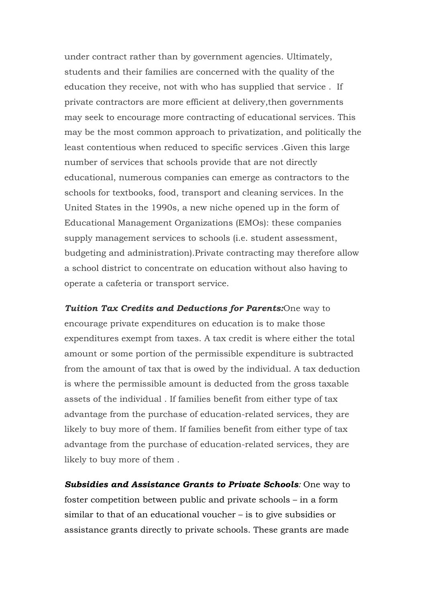under contract rather than by government agencies. Ultimately, students and their families are concerned with the quality of the education they receive, not with who has supplied that service . If private contractors are more efficient at delivery,then governments may seek to encourage more contracting of educational services. This may be the most common approach to privatization, and politically the least contentious when reduced to specific services .Given this large number of services that schools provide that are not directly educational, numerous companies can emerge as contractors to the schools for textbooks, food, transport and cleaning services. In the United States in the 1990s, a new niche opened up in the form of Educational Management Organizations (EMOs): these companies supply management services to schools (i.e. student assessment, budgeting and administration).Private contracting may therefore allow a school district to concentrate on education without also having to operate a cafeteria or transport service.

*Tuition Tax Credits and Deductions for Parents:*One way to encourage private expenditures on education is to make those expenditures exempt from taxes. A tax credit is where either the total amount or some portion of the permissible expenditure is subtracted from the amount of tax that is owed by the individual. A tax deduction is where the permissible amount is deducted from the gross taxable assets of the individual . If families benefit from either type of tax advantage from the purchase of education-related services, they are likely to buy more of them. If families benefit from either type of tax advantage from the purchase of education-related services, they are likely to buy more of them .

*Subsidies and Assistance Grants to Private Schools:* One way to foster competition between public and private schools – in a form similar to that of an educational voucher – is to give subsidies or assistance grants directly to private schools. These grants are made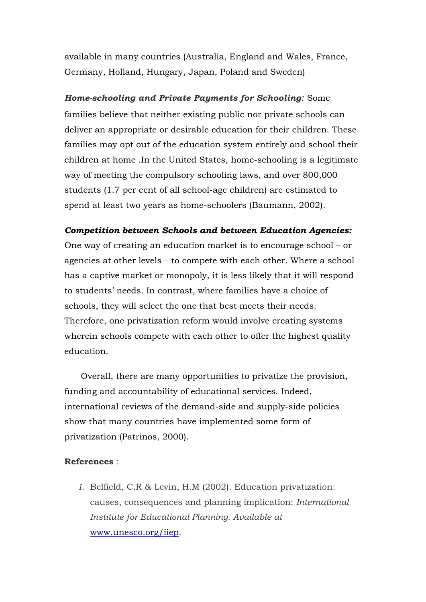available in many countries (Australia, England and Wales, France, Germany, Holland, Hungary, Japan, Poland and Sweden)

### *Home-schooling and Private Payments for Schooling:* Some

families believe that neither existing public nor private schools can deliver an appropriate or desirable education for their children. These families may opt out of the education system entirely and school their children at home .In the United States, home-schooling is a legitimate way of meeting the compulsory schooling laws, and over 800,000 students (1.7 per cent of all school-age children) are estimated to spend at least two years as home-schoolers (Baumann, 2002).

### *Competition between Schools and between Education Agencies:*

One way of creating an education market is to encourage school – or agencies at other levels – to compete with each other. Where a school has a captive market or monopoly, it is less likely that it will respond to students' needs. In contrast, where families have a choice of schools, they will select the one that best meets their needs. Therefore, one privatization reform would involve creating systems wherein schools compete with each other to offer the highest quality education.

 Overall, there are many opportunities to privatize the provision, funding and accountability of educational services. Indeed, international reviews of the demand-side and supply-side policies show that many countries have implemented some form of privatization (Patrinos, 2000).

#### **References** :

*1.* Belfield, C.R & Levin, H.M (2002). Education privatization: causes, consequences and planning implication: *International Institute for Educational Planning. Available at*  [www.unesco.org/iiep](http://www.unesco.org/iiep)*.*